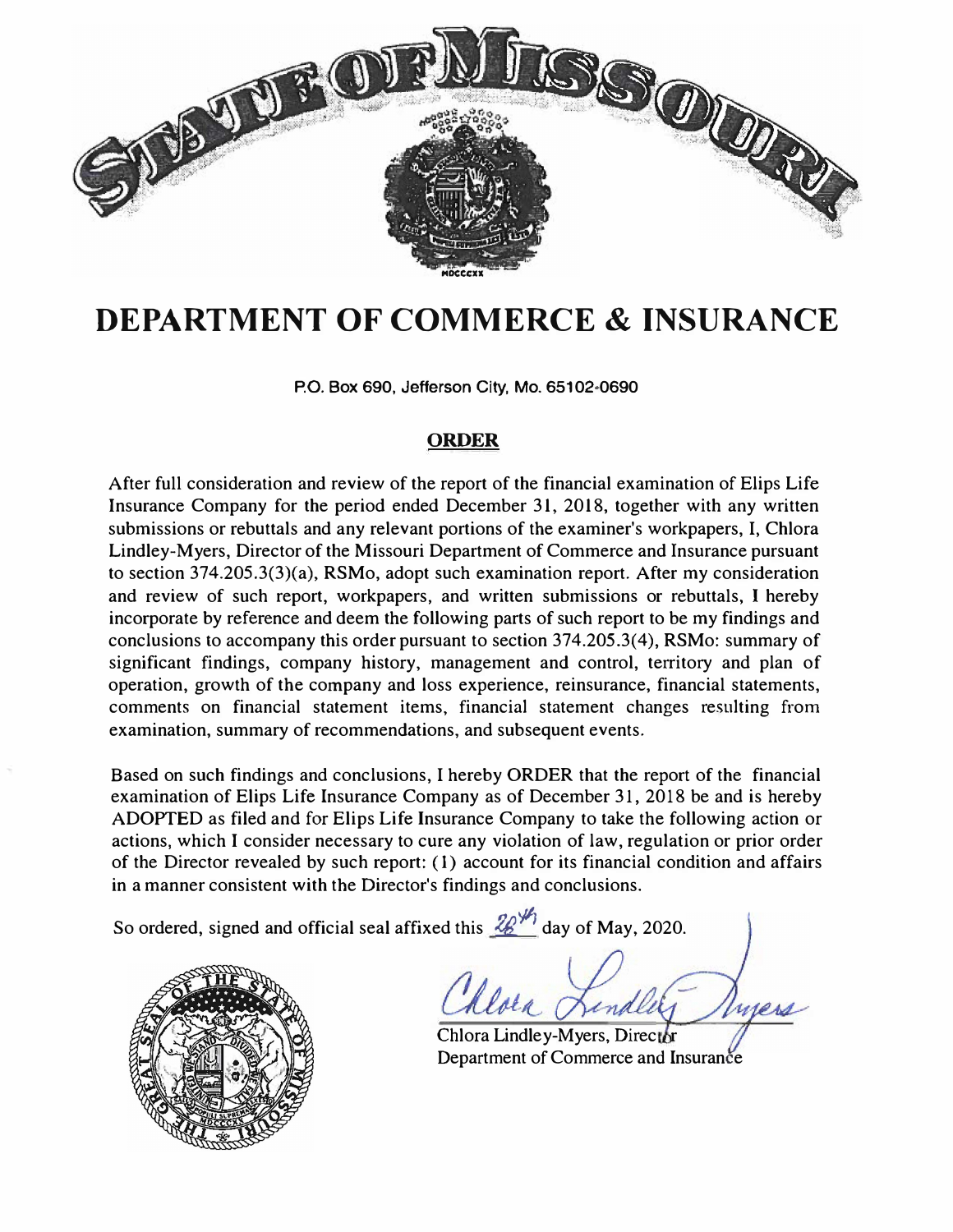

# **DEPARTMENT OF COMMERCE & INSURANCE**

**P.O. Box 690, Jefferson City, Mo. 65102•0690** 

# **ORDER**

After full consideration and review of the report of the financial examination of Elips Life Insurance Company for the period ended December 31. 2018, together with any written submissions or rebuttals and any relevant portions of the examiner's workpapers, I, Chlora Lindley-Myers, Director of the Missouri Department of Commerce and Insurance pursuant to section 374.205.3(3)(a), RSMo, adopt such examination report. After my consideration and review of such report, workpapers, and written submissions or rebuttals, I hereby incorporate by reference and deem the following parts of such report to be my findings and conclusions to accompany this order pursuant to section 374.205.3(4), RSMo: summary of significant findings, company history, management and control, territory and plan of operation, growth of the company and loss experience, reinsurance, financial statements, comments on financial statement items, financial statement changes resulting from examination, summary of recommendations, and subsequent events.

Based on such findings and conclusions, I hereby ORDER that the report of the financial examination of Elips Life Insurance Company as of December 31, 2018 be and is hereby ADOPTED as filed and for Elips Life Insurance Company to take the following action or actions, which I consider necessary to cure any violation of law, regulation or prior order of the Director revealed by such report: ( 1) account for its financial condition and affairs in a manner consistent with the Director's findings and conclusions.

So ordered, signed and official seal affixed this  $\frac{26}{1}$  day of May, 2020.



hlora

Chlora Lindley-Myers, Director Department of Commerce and Insurance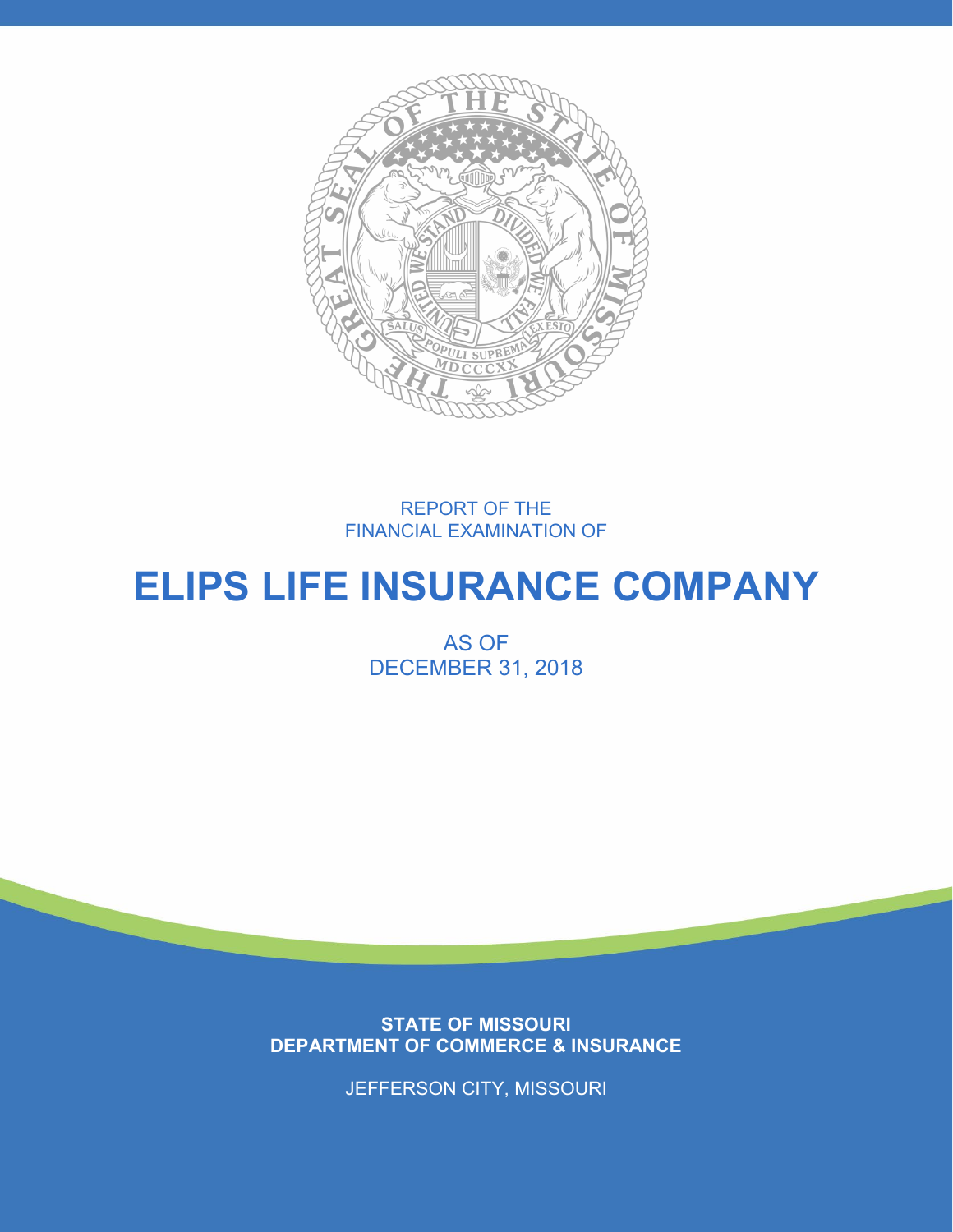

REPORT OF THE FINANCIAL EXAMINATION OF

# **ELIPS LIFE INSURANCE COMPANY**

AS OF DECEMBER 31, 2018

**STATE OF MISSOURI DEPARTMENT OF COMMERCE & INSURANCE**

JEFFERSON CITY, MISSOURI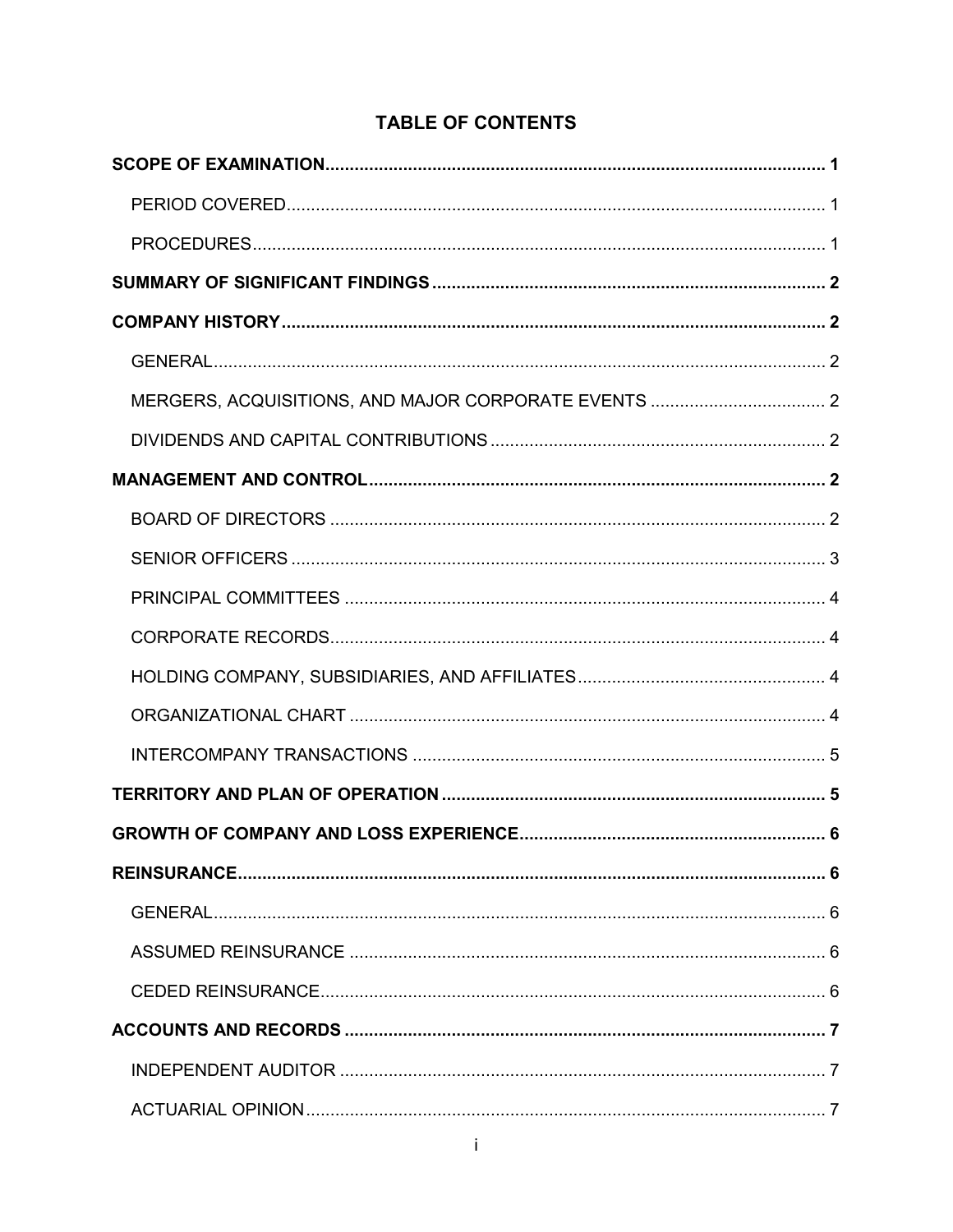# **TABLE OF CONTENTS**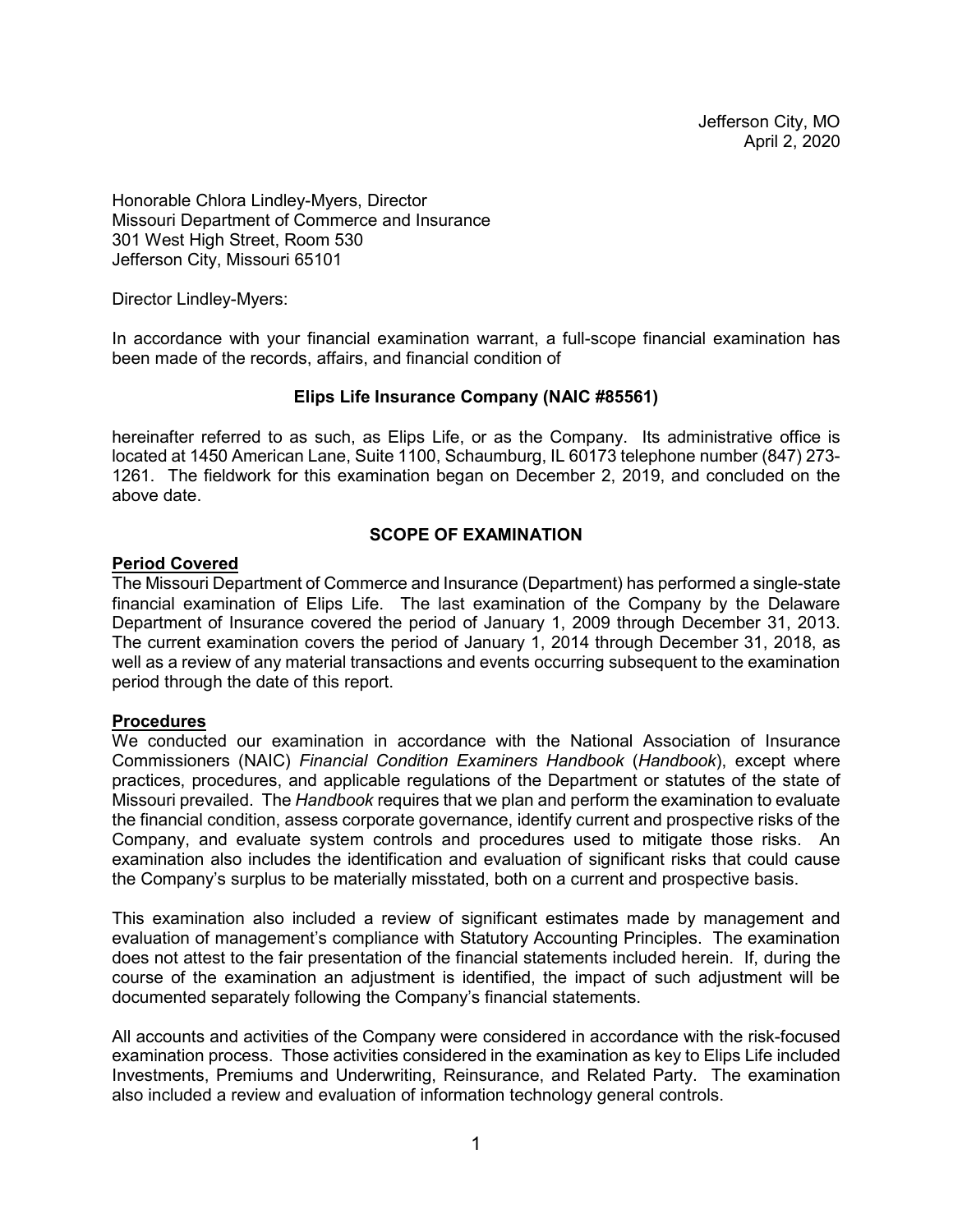Jefferson City, MO April 2, 2020

Honorable Chlora Lindley-Myers, Director Missouri Department of Commerce and Insurance 301 West High Street, Room 530 Jefferson City, Missouri 65101

Director Lindley-Myers:

In accordance with your financial examination warrant, a full-scope financial examination has been made of the records, affairs, and financial condition of

#### **Elips Life Insurance Company (NAIC #85561)**

hereinafter referred to as such, as Elips Life, or as the Company. Its administrative office is located at 1450 American Lane, Suite 1100, Schaumburg, IL 60173 telephone number (847) 273- 1261. The fieldwork for this examination began on December 2, 2019, and concluded on the above date.

#### **SCOPE OF EXAMINATION**

#### <span id="page-4-1"></span><span id="page-4-0"></span>**Period Covered**

The Missouri Department of Commerce and Insurance (Department) has performed a single-state financial examination of Elips Life. The last examination of the Company by the Delaware Department of Insurance covered the period of January 1, 2009 through December 31, 2013. The current examination covers the period of January 1, 2014 through December 31, 2018, as well as a review of any material transactions and events occurring subsequent to the examination period through the date of this report.

#### <span id="page-4-2"></span>**Procedures**

We conducted our examination in accordance with the National Association of Insurance Commissioners (NAIC) *Financial Condition Examiners Handbook* (*Handbook*), except where practices, procedures, and applicable regulations of the Department or statutes of the state of Missouri prevailed. The *Handbook* requires that we plan and perform the examination to evaluate the financial condition, assess corporate governance, identify current and prospective risks of the Company, and evaluate system controls and procedures used to mitigate those risks. An examination also includes the identification and evaluation of significant risks that could cause the Company's surplus to be materially misstated, both on a current and prospective basis.

This examination also included a review of significant estimates made by management and evaluation of management's compliance with Statutory Accounting Principles. The examination does not attest to the fair presentation of the financial statements included herein. If, during the course of the examination an adjustment is identified, the impact of such adjustment will be documented separately following the Company's financial statements.

All accounts and activities of the Company were considered in accordance with the risk-focused examination process. Those activities considered in the examination as key to Elips Life included Investments, Premiums and Underwriting, Reinsurance, and Related Party. The examination also included a review and evaluation of information technology general controls.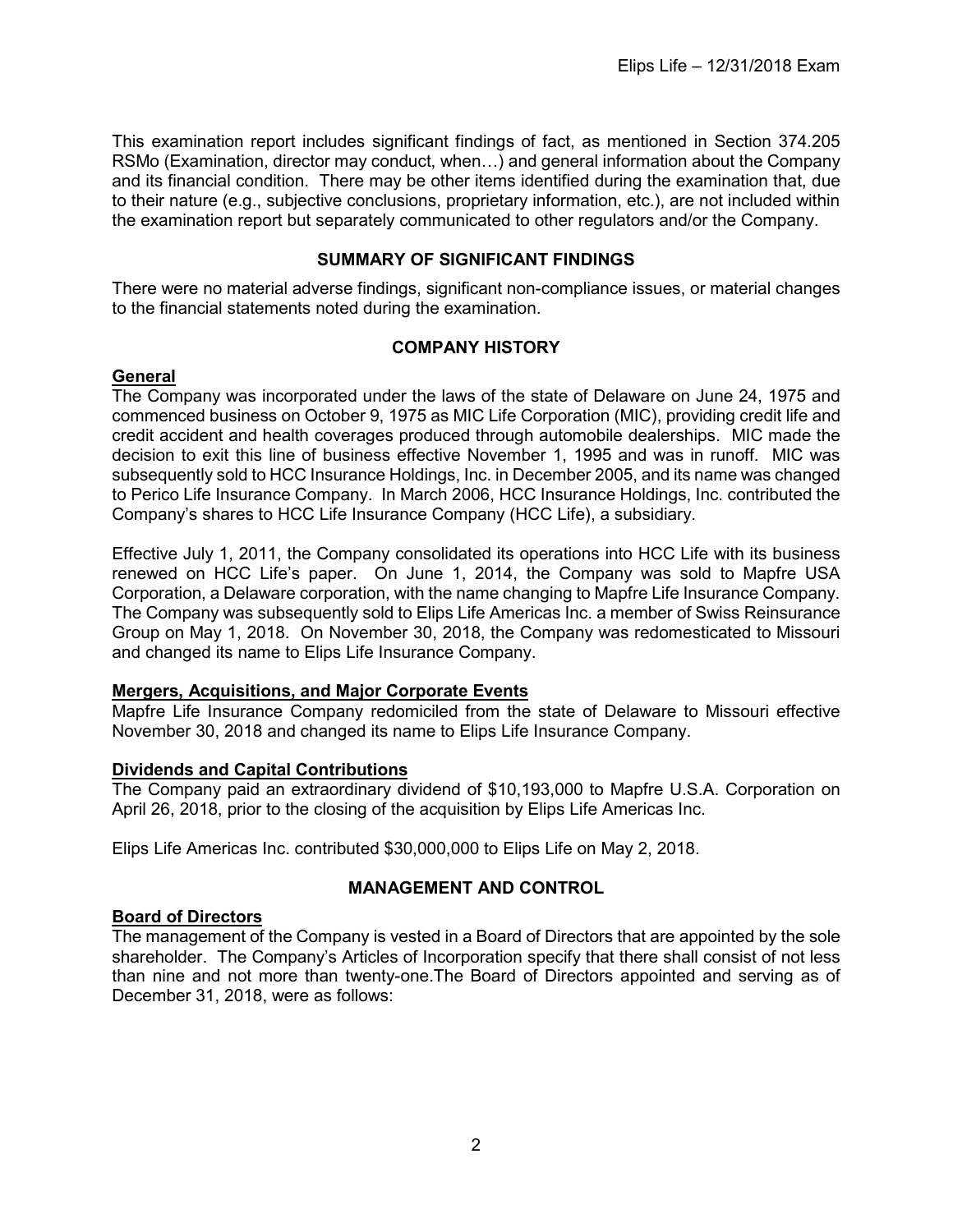This examination report includes significant findings of fact, as mentioned in Section 374.205 RSMo (Examination, director may conduct, when…) and general information about the Company and its financial condition. There may be other items identified during the examination that, due to their nature (e.g., subjective conclusions, proprietary information, etc.), are not included within the examination report but separately communicated to other regulators and/or the Company.

# **SUMMARY OF SIGNIFICANT FINDINGS**

<span id="page-5-0"></span>There were no material adverse findings, significant non-compliance issues, or material changes to the financial statements noted during the examination.

#### **COMPANY HISTORY**

#### <span id="page-5-2"></span><span id="page-5-1"></span>**General**

The Company was incorporated under the laws of the state of Delaware on June 24, 1975 and commenced business on October 9, 1975 as MIC Life Corporation (MIC), providing credit life and credit accident and health coverages produced through automobile dealerships. MIC made the decision to exit this line of business effective November 1, 1995 and was in runoff. MIC was subsequently sold to HCC Insurance Holdings, Inc. in December 2005, and its name was changed to Perico Life Insurance Company. In March 2006, HCC Insurance Holdings, Inc. contributed the Company's shares to HCC Life Insurance Company (HCC Life), a subsidiary.

Effective July 1, 2011, the Company consolidated its operations into HCC Life with its business renewed on HCC Life's paper. On June 1, 2014, the Company was sold to Mapfre USA Corporation, a Delaware corporation, with the name changing to Mapfre Life Insurance Company. The Company was subsequently sold to Elips Life Americas Inc. a member of Swiss Reinsurance Group on May 1, 2018. On November 30, 2018, the Company was redomesticated to Missouri and changed its name to Elips Life Insurance Company.

#### <span id="page-5-3"></span>**Mergers, Acquisitions, and Major Corporate Events**

Mapfre Life Insurance Company redomiciled from the state of Delaware to Missouri effective November 30, 2018 and changed its name to Elips Life Insurance Company.

#### <span id="page-5-4"></span>**Dividends and Capital Contributions**

The Company paid an extraordinary dividend of \$10,193,000 to Mapfre U.S.A. Corporation on April 26, 2018, prior to the closing of the acquisition by Elips Life Americas Inc.

Elips Life Americas Inc. contributed \$30,000,000 to Elips Life on May 2, 2018.

# **MANAGEMENT AND CONTROL**

#### <span id="page-5-6"></span><span id="page-5-5"></span>**Board of Directors**

The management of the Company is vested in a Board of Directors that are appointed by the sole shareholder. The Company's Articles of Incorporation specify that there shall consist of not less than nine and not more than twenty-one.The Board of Directors appointed and serving as of December 31, 2018, were as follows: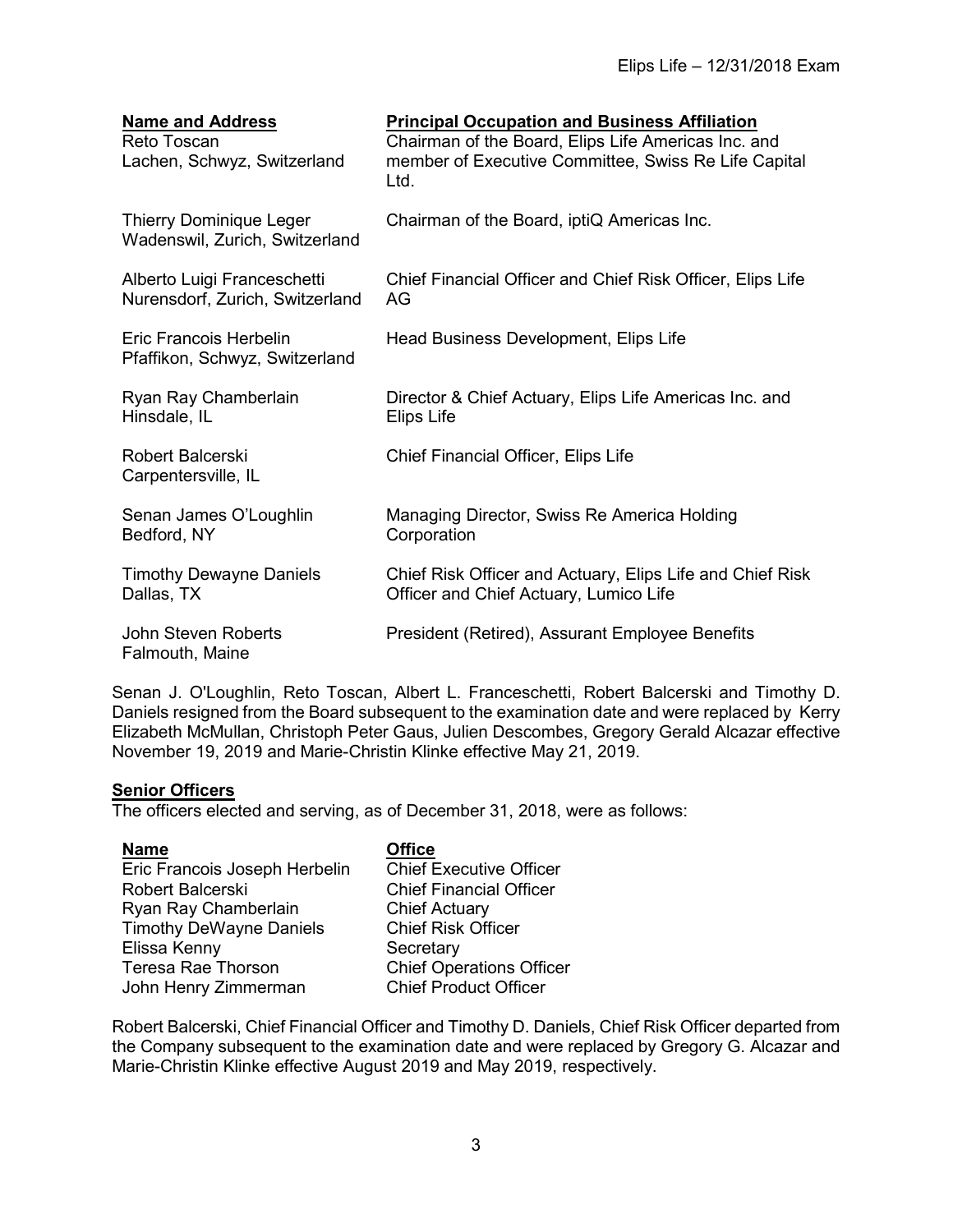| <b>Name and Address</b><br>Reto Toscan<br>Lachen, Schwyz, Switzerland | <b>Principal Occupation and Business Affiliation</b><br>Chairman of the Board, Elips Life Americas Inc. and<br>member of Executive Committee, Swiss Re Life Capital<br>Ltd. |
|-----------------------------------------------------------------------|-----------------------------------------------------------------------------------------------------------------------------------------------------------------------------|
| <b>Thierry Dominique Leger</b><br>Wadenswil, Zurich, Switzerland      | Chairman of the Board, iptiQ Americas Inc.                                                                                                                                  |
| Alberto Luigi Franceschetti<br>Nurensdorf, Zurich, Switzerland        | Chief Financial Officer and Chief Risk Officer, Elips Life<br>AG                                                                                                            |
| Eric Francois Herbelin<br>Pfaffikon, Schwyz, Switzerland              | Head Business Development, Elips Life                                                                                                                                       |
| Ryan Ray Chamberlain<br>Hinsdale, IL                                  | Director & Chief Actuary, Elips Life Americas Inc. and<br>Elips Life                                                                                                        |
| <b>Robert Balcerski</b><br>Carpentersville, IL                        | Chief Financial Officer, Elips Life                                                                                                                                         |
| Senan James O'Loughlin<br>Bedford, NY                                 | Managing Director, Swiss Re America Holding<br>Corporation                                                                                                                  |
| <b>Timothy Dewayne Daniels</b><br>Dallas, TX                          | Chief Risk Officer and Actuary, Elips Life and Chief Risk<br>Officer and Chief Actuary, Lumico Life                                                                         |
| John Steven Roberts<br>Falmouth, Maine                                | President (Retired), Assurant Employee Benefits                                                                                                                             |

Senan J. O'Loughlin, Reto Toscan, Albert L. Franceschetti, Robert Balcerski and Timothy D. Daniels resigned from the Board subsequent to the examination date and were replaced by Kerry Elizabeth McMullan, Christoph Peter Gaus, Julien Descombes, Gregory Gerald Alcazar effective November 19, 2019 and Marie-Christin Klinke effective May 21, 2019.

# <span id="page-6-0"></span>**Senior Officers**

The officers elected and serving, as of December 31, 2018, were as follows:

| <b>Name</b>                    | <b>Office</b>                   |
|--------------------------------|---------------------------------|
| Eric Francois Joseph Herbelin  | <b>Chief Executive Officer</b>  |
| Robert Balcerski               | <b>Chief Financial Officer</b>  |
| Ryan Ray Chamberlain           | <b>Chief Actuary</b>            |
| <b>Timothy DeWayne Daniels</b> | <b>Chief Risk Officer</b>       |
| Elissa Kenny                   | Secretary                       |
| <b>Teresa Rae Thorson</b>      | <b>Chief Operations Officer</b> |
| John Henry Zimmerman           | <b>Chief Product Officer</b>    |
|                                |                                 |

Robert Balcerski, Chief Financial Officer and Timothy D. Daniels, Chief Risk Officer departed from the Company subsequent to the examination date and were replaced by Gregory G. Alcazar and Marie-Christin Klinke effective August 2019 and May 2019, respectively.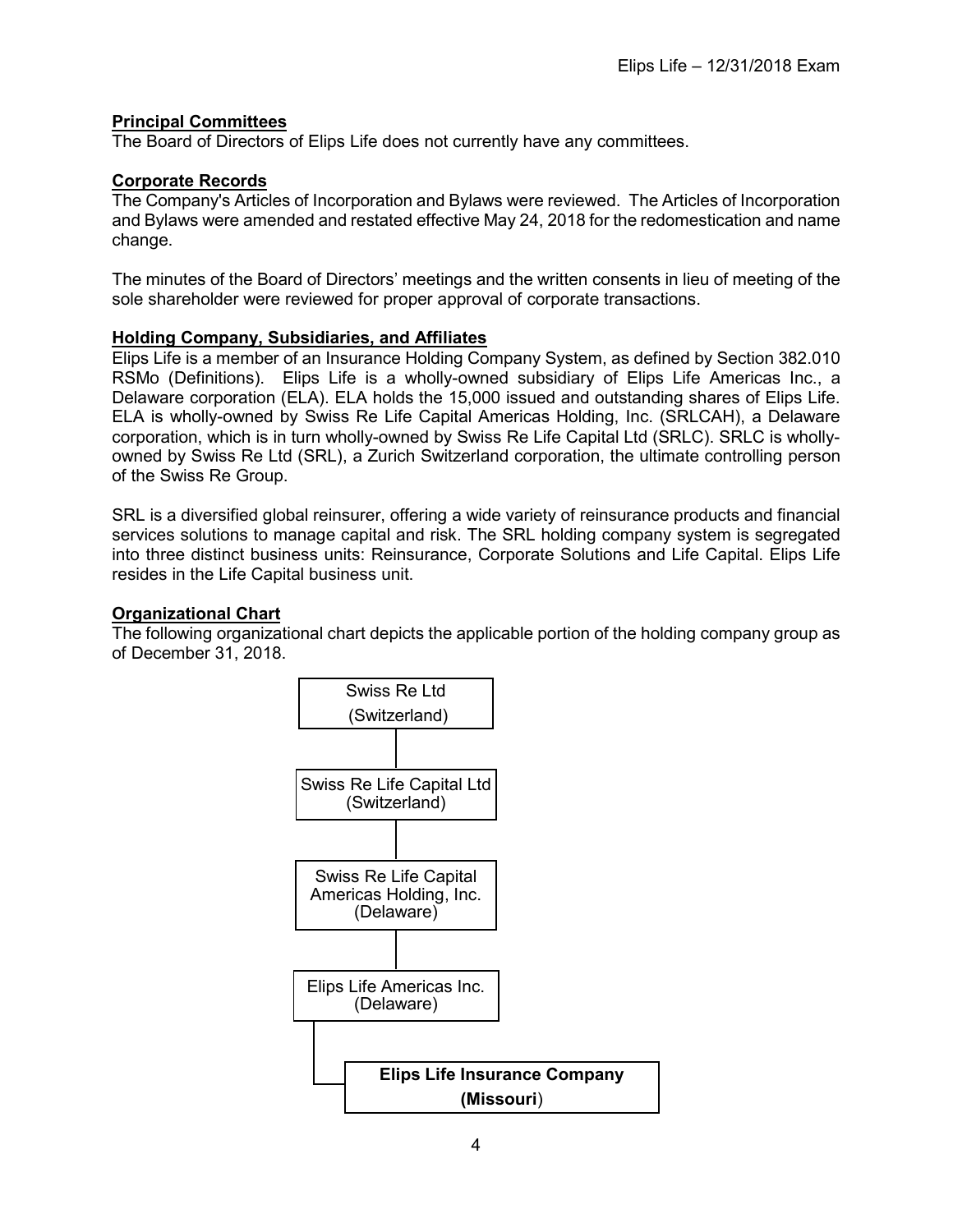# <span id="page-7-0"></span>**Principal Committees**

The Board of Directors of Elips Life does not currently have any committees.

# <span id="page-7-1"></span>**Corporate Records**

The Company's Articles of Incorporation and Bylaws were reviewed. The Articles of Incorporation and Bylaws were amended and restated effective May 24, 2018 for the redomestication and name change.

The minutes of the Board of Directors' meetings and the written consents in lieu of meeting of the sole shareholder were reviewed for proper approval of corporate transactions.

# <span id="page-7-2"></span>**Holding Company, Subsidiaries, and Affiliates**

Elips Life is a member of an Insurance Holding Company System, as defined by Section 382.010 RSMo (Definitions). Elips Life is a wholly-owned subsidiary of Elips Life Americas Inc., a Delaware corporation (ELA). ELA holds the 15,000 issued and outstanding shares of Elips Life. ELA is wholly-owned by Swiss Re Life Capital Americas Holding, Inc. (SRLCAH), a Delaware corporation, which is in turn wholly-owned by Swiss Re Life Capital Ltd (SRLC). SRLC is whollyowned by Swiss Re Ltd (SRL), a Zurich Switzerland corporation, the ultimate controlling person of the Swiss Re Group.

SRL is a diversified global reinsurer, offering a wide variety of reinsurance products and financial services solutions to manage capital and risk. The SRL holding company system is segregated into three distinct business units: Reinsurance, Corporate Solutions and Life Capital. Elips Life resides in the Life Capital business unit.

#### <span id="page-7-3"></span>**Organizational Chart**

The following organizational chart depicts the applicable portion of the holding company group as of December 31, 2018.

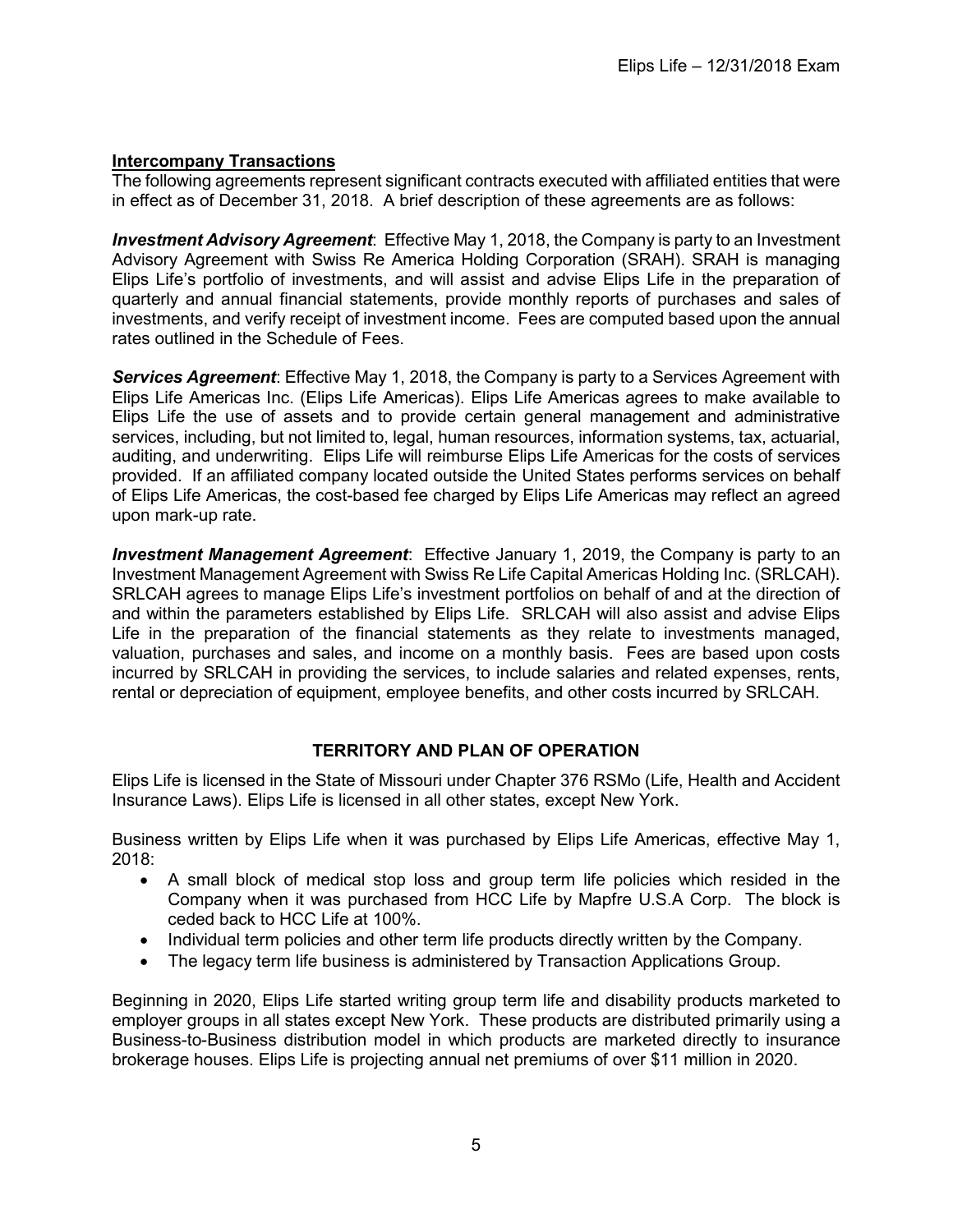# <span id="page-8-0"></span>**Intercompany Transactions**

The following agreements represent significant contracts executed with affiliated entities that were in effect as of December 31, 2018. A brief description of these agreements are as follows:

*Investment Advisory Agreement*: Effective May 1, 2018, the Company is party to an Investment Advisory Agreement with Swiss Re America Holding Corporation (SRAH). SRAH is managing Elips Life's portfolio of investments, and will assist and advise Elips Life in the preparation of quarterly and annual financial statements, provide monthly reports of purchases and sales of investments, and verify receipt of investment income. Fees are computed based upon the annual rates outlined in the Schedule of Fees.

*Services Agreement*: Effective May 1, 2018, the Company is party to a Services Agreement with Elips Life Americas Inc. (Elips Life Americas). Elips Life Americas agrees to make available to Elips Life the use of assets and to provide certain general management and administrative services, including, but not limited to, legal, human resources, information systems, tax, actuarial, auditing, and underwriting. Elips Life will reimburse Elips Life Americas for the costs of services provided. If an affiliated company located outside the United States performs services on behalf of Elips Life Americas, the cost-based fee charged by Elips Life Americas may reflect an agreed upon mark-up rate.

*Investment Management Agreement*: Effective January 1, 2019, the Company is party to an Investment Management Agreement with Swiss Re Life Capital Americas Holding Inc. (SRLCAH). SRLCAH agrees to manage Elips Life's investment portfolios on behalf of and at the direction of and within the parameters established by Elips Life. SRLCAH will also assist and advise Elips Life in the preparation of the financial statements as they relate to investments managed, valuation, purchases and sales, and income on a monthly basis. Fees are based upon costs incurred by SRLCAH in providing the services, to include salaries and related expenses, rents, rental or depreciation of equipment, employee benefits, and other costs incurred by SRLCAH.

# **TERRITORY AND PLAN OF OPERATION**

<span id="page-8-1"></span>Elips Life is licensed in the State of Missouri under Chapter 376 RSMo (Life, Health and Accident Insurance Laws). Elips Life is licensed in all other states, except New York.

Business written by Elips Life when it was purchased by Elips Life Americas, effective May 1, 2018:

- A small block of medical stop loss and group term life policies which resided in the Company when it was purchased from HCC Life by Mapfre U.S.A Corp. The block is ceded back to HCC Life at 100%.
- Individual term policies and other term life products directly written by the Company.
- The legacy term life business is administered by Transaction Applications Group.

Beginning in 2020, Elips Life started writing group term life and disability products marketed to employer groups in all states except New York. These products are distributed primarily using a Business-to-Business distribution model in which products are marketed directly to insurance brokerage houses. Elips Life is projecting annual net premiums of over \$11 million in 2020.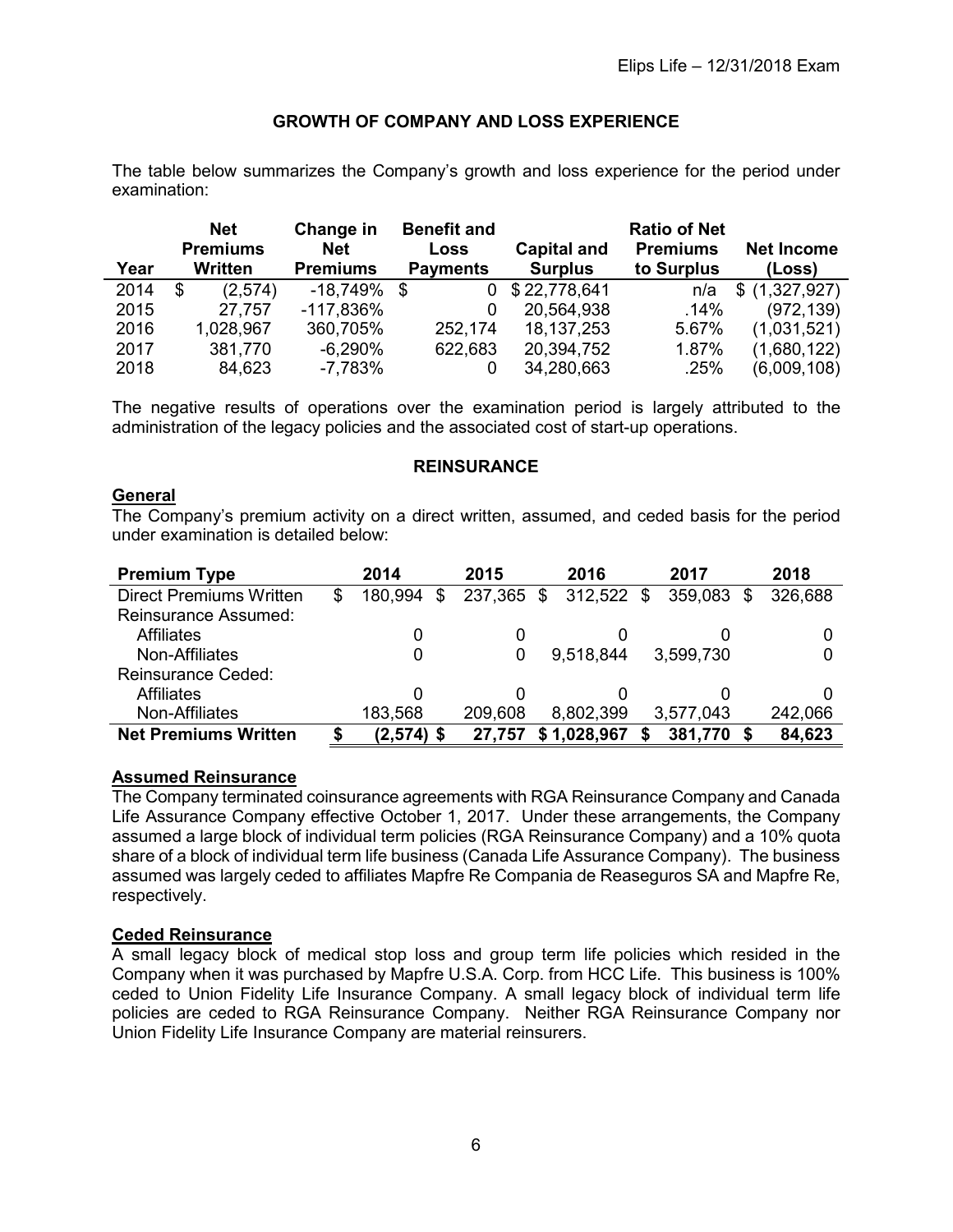# **GROWTH OF COMPANY AND LOSS EXPERIENCE**

<span id="page-9-0"></span>The table below summarizes the Company's growth and loss experience for the period under examination:

|      | <b>Net</b><br><b>Premiums</b> | Change in<br><b>Net</b> | <b>Benefit and</b><br>Loss | <b>Capital and</b> | <b>Ratio of Net</b><br><b>Premiums</b> | <b>Net Income</b> |
|------|-------------------------------|-------------------------|----------------------------|--------------------|----------------------------------------|-------------------|
| Year | Written                       | <b>Premiums</b>         | <b>Payments</b>            | <b>Surplus</b>     | to Surplus                             | (Loss)            |
| 2014 | (2,574)<br>S                  | $-18,749%$              | \$<br>0                    | \$22,778,641       | n/a                                    | (1,327,927)<br>\$ |
| 2015 | 27,757                        | $-117,836%$             |                            | 20,564,938         | .14%                                   | (972, 139)        |
| 2016 | 1,028,967                     | 360,705%                | 252,174                    | 18, 137, 253       | 5.67%                                  | (1,031,521)       |
| 2017 | 381,770                       | $-6,290%$               | 622,683                    | 20,394,752         | 1.87%                                  | (1,680,122)       |
| 2018 | 84,623                        | $-7,783%$               |                            | 34,280,663         | .25%                                   | (6,009,108)       |

The negative results of operations over the examination period is largely attributed to the administration of the legacy policies and the associated cost of start-up operations.

#### **REINSURANCE**

# <span id="page-9-2"></span><span id="page-9-1"></span>**General**

The Company's premium activity on a direct written, assumed, and ceded basis for the period under examination is detailed below:

| <b>Premium Type</b>            |   | 2014          | 2015    | 2016             | 2017      |     | 2018    |
|--------------------------------|---|---------------|---------|------------------|-----------|-----|---------|
| <b>Direct Premiums Written</b> | S | 180,994<br>\$ | 237,365 | \$<br>312,522 \$ | 359,083   | \$. | 326,688 |
| <b>Reinsurance Assumed:</b>    |   |               |         |                  |           |     |         |
| <b>Affiliates</b>              |   |               |         |                  |           |     |         |
| Non-Affiliates                 |   | 0             | O       | 9,518,844        | 3,599,730 |     |         |
| <b>Reinsurance Ceded:</b>      |   |               |         |                  |           |     |         |
| <b>Affiliates</b>              |   |               |         |                  |           |     |         |
| Non-Affiliates                 |   | 183,568       | 209,608 | 8,802,399        | 3,577,043 |     | 242,066 |
| <b>Net Premiums Written</b>    |   | $(2,574)$ \$  | 27,757  | \$1,028,967      | 381,770   |     | 84,623  |

# <span id="page-9-3"></span>**Assumed Reinsurance**

The Company terminated coinsurance agreements with RGA Reinsurance Company and Canada Life Assurance Company effective October 1, 2017. Under these arrangements, the Company assumed a large block of individual term policies (RGA Reinsurance Company) and a 10% quota share of a block of individual term life business (Canada Life Assurance Company). The business assumed was largely ceded to affiliates Mapfre Re Compania de Reaseguros SA and Mapfre Re, respectively.

#### <span id="page-9-4"></span>**Ceded Reinsurance**

A small legacy block of medical stop loss and group term life policies which resided in the Company when it was purchased by Mapfre U.S.A. Corp. from HCC Life. This business is 100% ceded to Union Fidelity Life Insurance Company. A small legacy block of individual term life policies are ceded to RGA Reinsurance Company. Neither RGA Reinsurance Company nor Union Fidelity Life Insurance Company are material reinsurers.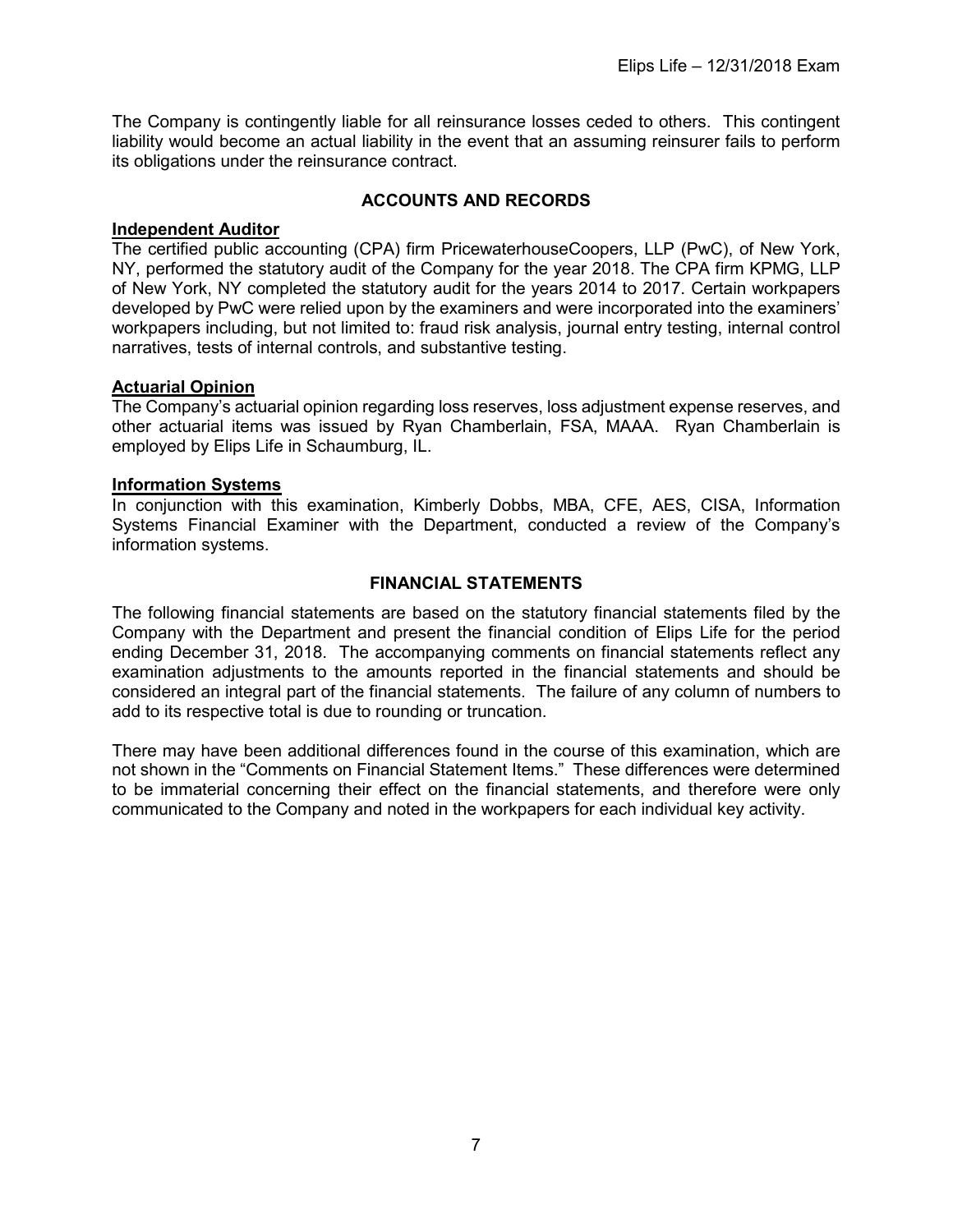The Company is contingently liable for all reinsurance losses ceded to others. This contingent liability would become an actual liability in the event that an assuming reinsurer fails to perform its obligations under the reinsurance contract.

# **ACCOUNTS AND RECORDS**

# <span id="page-10-1"></span><span id="page-10-0"></span>**Independent Auditor**

The certified public accounting (CPA) firm PricewaterhouseCoopers, LLP (PwC), of New York, NY, performed the statutory audit of the Company for the year 2018. The CPA firm KPMG, LLP of New York, NY completed the statutory audit for the years 2014 to 2017. Certain workpapers developed by PwC were relied upon by the examiners and were incorporated into the examiners' workpapers including, but not limited to: fraud risk analysis, journal entry testing, internal control narratives, tests of internal controls, and substantive testing.

#### <span id="page-10-2"></span>**Actuarial Opinion**

The Company's actuarial opinion regarding loss reserves, loss adjustment expense reserves, and other actuarial items was issued by Ryan Chamberlain, FSA, MAAA. Ryan Chamberlain is employed by Elips Life in Schaumburg, IL.

#### <span id="page-10-3"></span>**Information Systems**

In conjunction with this examination, Kimberly Dobbs, MBA, CFE, AES, CISA, Information Systems Financial Examiner with the Department, conducted a review of the Company's information systems.

# **FINANCIAL STATEMENTS**

<span id="page-10-4"></span>The following financial statements are based on the statutory financial statements filed by the Company with the Department and present the financial condition of Elips Life for the period ending December 31, 2018. The accompanying comments on financial statements reflect any examination adjustments to the amounts reported in the financial statements and should be considered an integral part of the financial statements. The failure of any column of numbers to add to its respective total is due to rounding or truncation.

There may have been additional differences found in the course of this examination, which are not shown in the "Comments on Financial Statement Items." These differences were determined to be immaterial concerning their effect on the financial statements, and therefore were only communicated to the Company and noted in the workpapers for each individual key activity.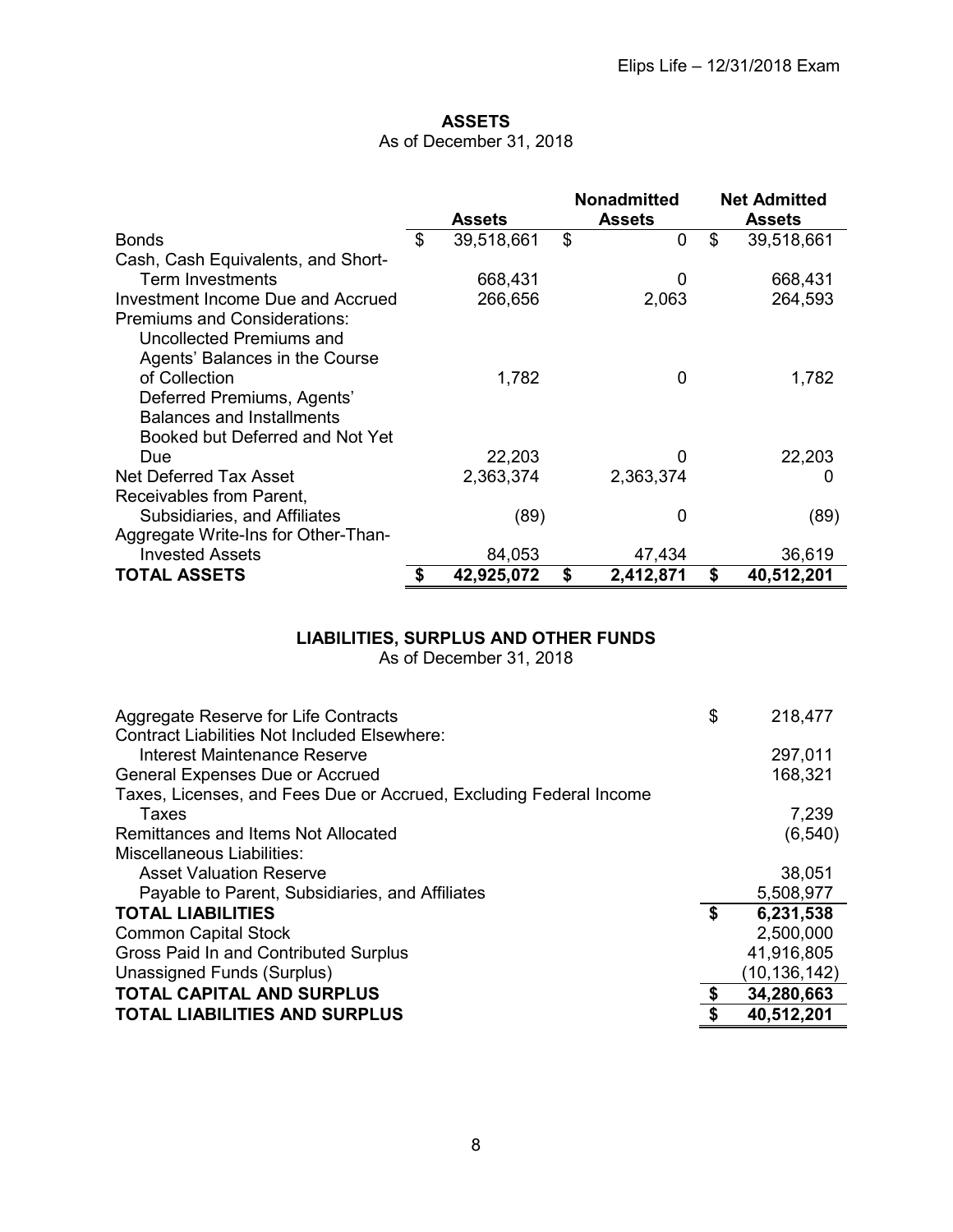# **ASSETS**

# As of December 31, 2018

<span id="page-11-0"></span>

|                                     | <b>Assets</b>    | <b>Nonadmitted</b><br><b>Assets</b> |    | <b>Net Admitted</b><br><b>Assets</b> |
|-------------------------------------|------------------|-------------------------------------|----|--------------------------------------|
| <b>Bonds</b>                        | \$<br>39,518,661 | \$<br>0                             | \$ | 39,518,661                           |
| Cash, Cash Equivalents, and Short-  |                  |                                     |    |                                      |
| Term Investments                    | 668,431          | 0                                   |    | 668,431                              |
| Investment Income Due and Accrued   | 266,656          | 2,063                               |    | 264,593                              |
| <b>Premiums and Considerations:</b> |                  |                                     |    |                                      |
| Uncollected Premiums and            |                  |                                     |    |                                      |
| Agents' Balances in the Course      |                  |                                     |    |                                      |
| of Collection                       | 1,782            | 0                                   |    | 1,782                                |
| Deferred Premiums, Agents'          |                  |                                     |    |                                      |
| <b>Balances and Installments</b>    |                  |                                     |    |                                      |
| Booked but Deferred and Not Yet     |                  |                                     |    |                                      |
| Due                                 | 22,203           |                                     |    | 22,203                               |
| Net Deferred Tax Asset              | 2,363,374        | 2,363,374                           |    | O                                    |
| Receivables from Parent,            |                  |                                     |    |                                      |
| Subsidiaries, and Affiliates        | (89)             | 0                                   |    | (89)                                 |
| Aggregate Write-Ins for Other-Than- |                  |                                     |    |                                      |
| <b>Invested Assets</b>              | 84,053           | 47,434                              |    | 36,619                               |
| <b>TOTAL ASSETS</b>                 | 42,925,072       | \$<br>2,412,871                     | S  | 40,512,201                           |

# **LIABILITIES, SURPLUS AND OTHER FUNDS**

As of December 31, 2018

<span id="page-11-1"></span>

| Aggregate Reserve for Life Contracts                                                | \$<br>218,477    |
|-------------------------------------------------------------------------------------|------------------|
| <b>Contract Liabilities Not Included Elsewhere:</b><br>Interest Maintenance Reserve |                  |
|                                                                                     | 297,011          |
| <b>General Expenses Due or Accrued</b>                                              | 168,321          |
| Taxes, Licenses, and Fees Due or Accrued, Excluding Federal Income                  |                  |
| Taxes                                                                               | 7,239            |
| Remittances and Items Not Allocated                                                 | (6, 540)         |
| Miscellaneous Liabilities:                                                          |                  |
| <b>Asset Valuation Reserve</b>                                                      | 38,051           |
| Payable to Parent, Subsidiaries, and Affiliates                                     | 5,508,977        |
| <b>TOTAL LIABILITIES</b>                                                            | \$<br>6,231,538  |
| <b>Common Capital Stock</b>                                                         | 2,500,000        |
| Gross Paid In and Contributed Surplus                                               | 41,916,805       |
| Unassigned Funds (Surplus)                                                          | (10,136,142)     |
| <b>TOTAL CAPITAL AND SURPLUS</b>                                                    | \$<br>34,280,663 |
| <b>TOTAL LIABILITIES AND SURPLUS</b>                                                | \$<br>40,512,201 |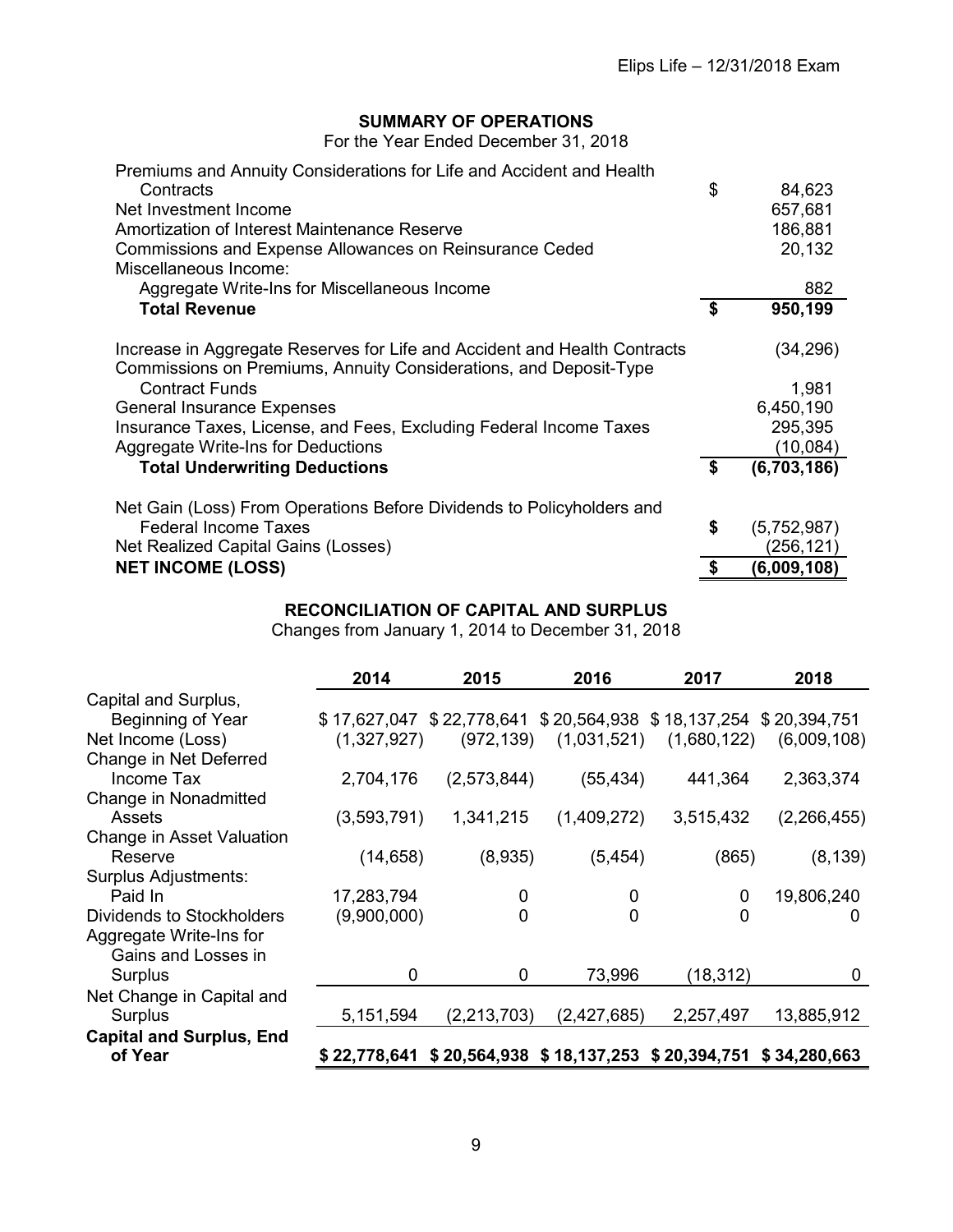# **SUMMARY OF OPERATIONS**

For the Year Ended December 31, 2018

<span id="page-12-0"></span>

| Premiums and Annuity Considerations for Life and Accident and Health      |     |             |
|---------------------------------------------------------------------------|-----|-------------|
| Contracts                                                                 | \$  | 84,623      |
| Net Investment Income                                                     |     | 657,681     |
| Amortization of Interest Maintenance Reserve                              |     | 186,881     |
| <b>Commissions and Expense Allowances on Reinsurance Ceded</b>            |     | 20,132      |
| Miscellaneous Income:                                                     |     |             |
| Aggregate Write-Ins for Miscellaneous Income                              |     | 882         |
| <b>Total Revenue</b>                                                      | -\$ | 950,199     |
|                                                                           |     |             |
| Increase in Aggregate Reserves for Life and Accident and Health Contracts |     | (34,296)    |
| Commissions on Premiums, Annuity Considerations, and Deposit-Type         |     |             |
| <b>Contract Funds</b>                                                     |     | 1,981       |
| <b>General Insurance Expenses</b>                                         |     | 6,450,190   |
| Insurance Taxes, License, and Fees, Excluding Federal Income Taxes        |     | 295,395     |
| Aggregate Write-Ins for Deductions                                        |     | (10,084)    |
| <b>Total Underwriting Deductions</b>                                      | S   | (6,703,186) |
|                                                                           |     |             |
| Net Gain (Loss) From Operations Before Dividends to Policyholders and     |     |             |
| <b>Federal Income Taxes</b>                                               | \$  | (5,752,987) |
| Net Realized Capital Gains (Losses)                                       |     | (256,121)   |
| <b>NET INCOME (LOSS)</b>                                                  |     | (6,009,108) |

# **RECONCILIATION OF CAPITAL AND SURPLUS**

Changes from January 1, 2014 to December 31, 2018

<span id="page-12-1"></span>

|                                 | 2014        | 2015                                                             | 2016                         | 2017        | 2018        |
|---------------------------------|-------------|------------------------------------------------------------------|------------------------------|-------------|-------------|
| Capital and Surplus,            |             |                                                                  |                              |             |             |
| Beginning of Year               |             | \$17,627,047 \$22,778,641 \$20,564,938 \$18,137,254 \$20,394,751 |                              |             |             |
| Net Income (Loss)               | (1,327,927) |                                                                  | $(972, 139)$ $(1, 031, 521)$ | (1,680,122) | (6,009,108) |
| Change in Net Deferred          |             |                                                                  |                              |             |             |
| Income Tax                      | 2,704,176   | (2,573,844)                                                      | (55, 434)                    | 441,364     | 2,363,374   |
| Change in Nonadmitted           |             |                                                                  |                              |             |             |
| Assets                          | (3,593,791) | 1,341,215                                                        | (1,409,272)                  | 3,515,432   | (2,266,455) |
| Change in Asset Valuation       |             |                                                                  |                              |             |             |
| Reserve                         | (14, 658)   | (8,935)                                                          | (5,454)                      | (865)       | (8, 139)    |
| <b>Surplus Adjustments:</b>     |             |                                                                  |                              |             |             |
| Paid In                         | 17,283,794  | 0                                                                | 0                            | 0           | 19,806,240  |
| Dividends to Stockholders       | (9,900,000) | 0                                                                | $\mathbf{0}$                 | $\Omega$    | 0           |
| Aggregate Write-Ins for         |             |                                                                  |                              |             |             |
| Gains and Losses in             |             |                                                                  |                              |             |             |
| Surplus                         | 0           | 0                                                                | 73,996                       | (18,312)    | 0           |
| Net Change in Capital and       |             |                                                                  |                              |             |             |
| Surplus                         | 5,151,594   | (2, 213, 703)                                                    | (2,427,685)                  | 2,257,497   | 13,885,912  |
| <b>Capital and Surplus, End</b> |             |                                                                  |                              |             |             |
| of Year                         |             | \$22,778,641 \$20,564,938 \$18,137,253 \$20,394,751 \$34,280,663 |                              |             |             |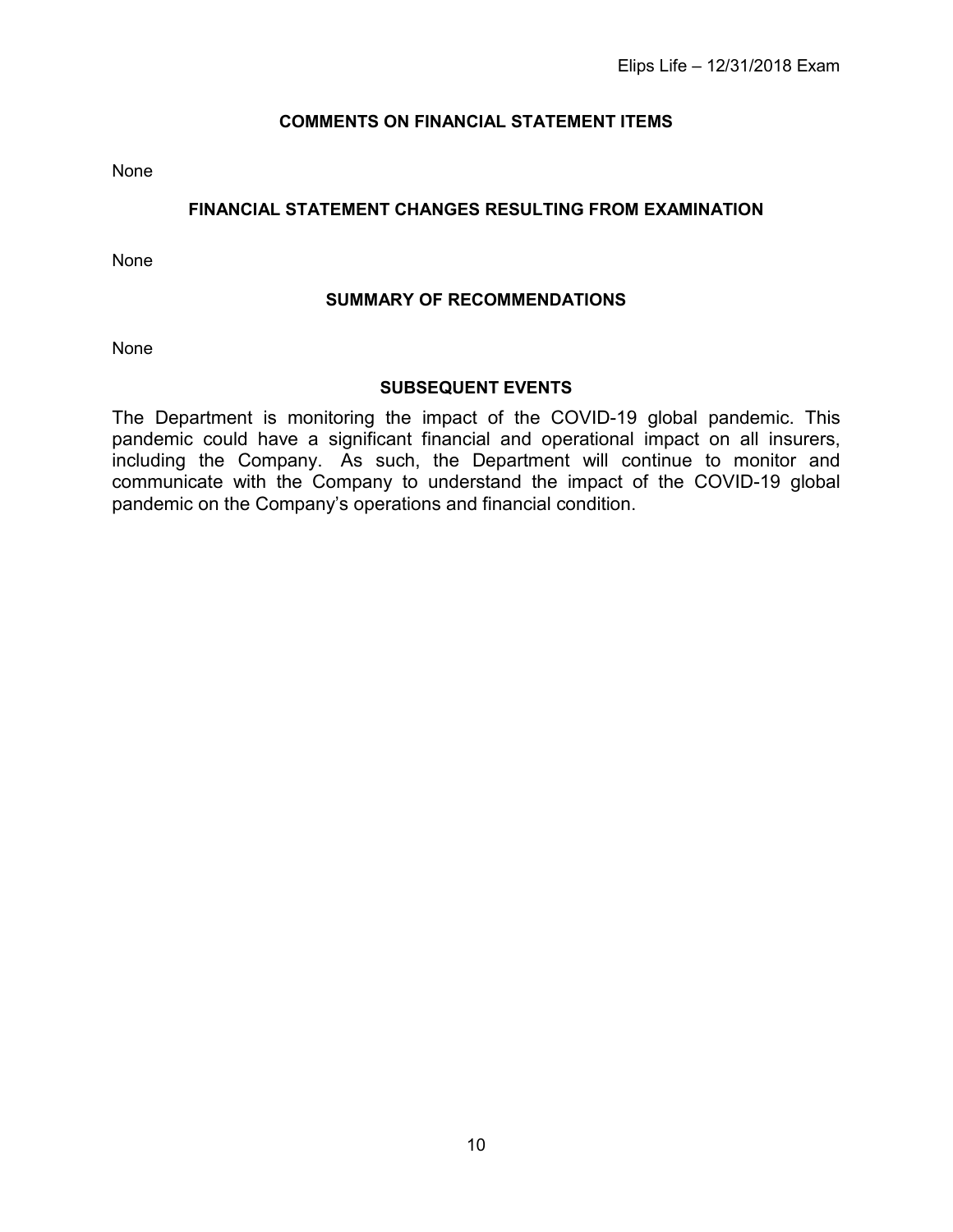# **COMMENTS ON FINANCIAL STATEMENT ITEMS**

<span id="page-13-1"></span><span id="page-13-0"></span>None

# **FINANCIAL STATEMENT CHANGES RESULTING FROM EXAMINATION**

<span id="page-13-2"></span>None

# **SUMMARY OF RECOMMENDATIONS**

None

# **SUBSEQUENT EVENTS**

<span id="page-13-3"></span>The Department is monitoring the impact of the COVID-19 global pandemic. This pandemic could have a significant financial and operational impact on all insurers, including the Company. As such, the Department will continue to monitor and communicate with the Company to understand the impact of the COVID-19 global pandemic on the Company's operations and financial condition.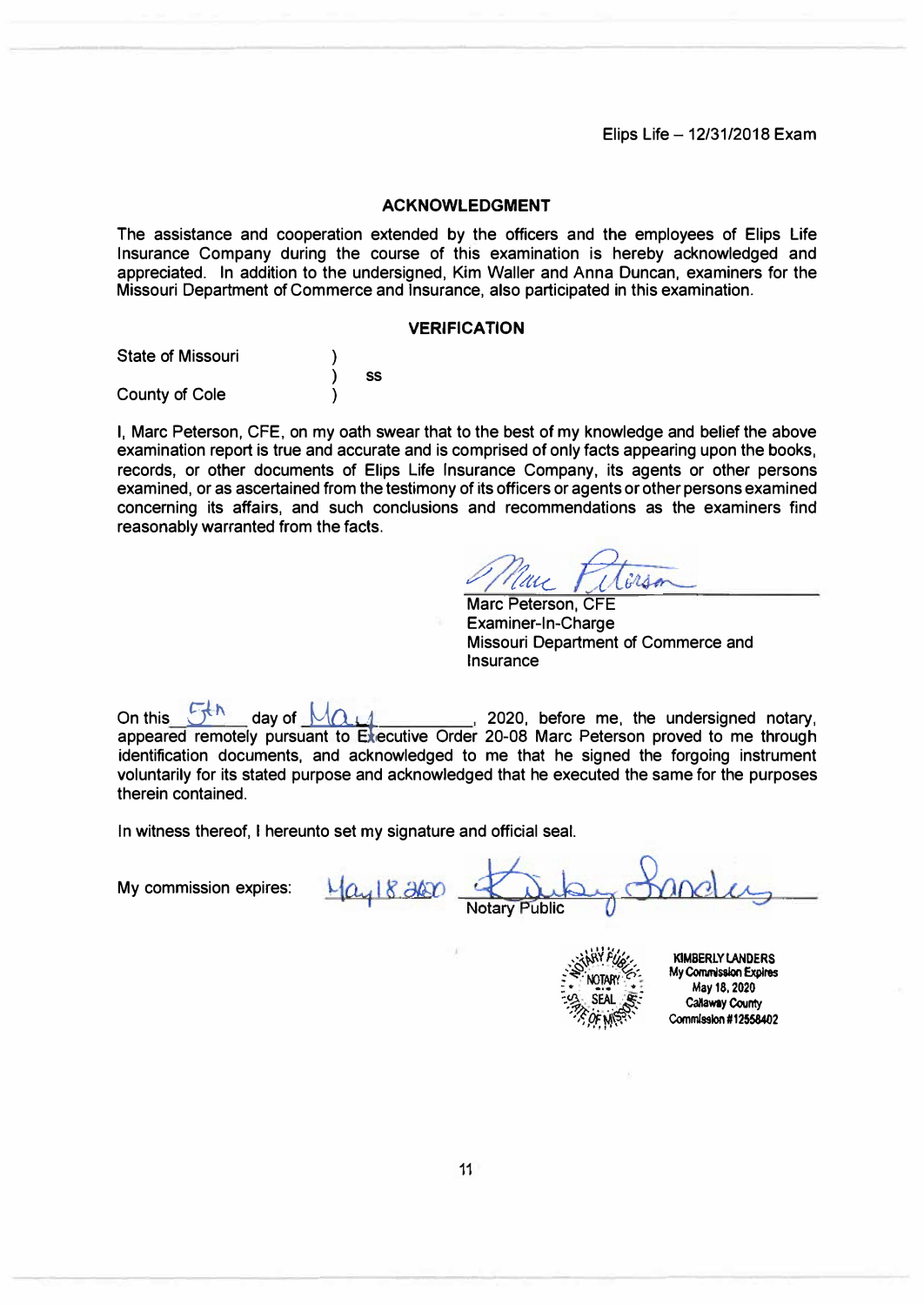Elips Life  $-12/31/2018$  Exam

#### **ACKNOWLEDGMENT**

The assistance and cooperation extended by the officers and the employees of Elips Life Insurance Company during the course of this examination is hereby acknowledged and appreciated. In addition to the undersigned, Kim Waller and Anna Duncan, examiners for the Missouri Department of Commerce and Insurance, also participated in this examination.

#### **VERIFICATION**

| <b>State of Missouri</b> |    |  |
|--------------------------|----|--|
|                          | SS |  |
| <b>County of Cole</b>    |    |  |

I, Marc Peterson, CFE, on my oath swear that to the best of my knowledge and belief the above examination report is true and accurate and is comprised of only facts appearing upon the books, records, or other documents of Elips Life Insurance Company, its agents or other persons examined, or as ascertained from the testimony of its officers or agents or other persons examined concerning its affairs, and such conclusions and recommendations as the examiners find reasonably warranted from the facts.

irso  $1112$ 

Marc Peterson, CFE Examiner-In-Charge Missouri Department of Commerce and Insurance

On this **Fig. 4** day of  $M_{0.14}$  2020, before me, the undersigned notary, appeared remotely pursuant to Executive Order 20-08 Marc Peterson proved to me through identification documents, and acknowledged to me that he signed the forgoing instrument voluntarily for its stated purpose and acknowledged that he executed the same for the purposes therein contained.

In witness thereof, I hereunto set my signature and official seal.

My commission expires:

1/ay 18,2000

otary Public

**KIMBERLY I.ANDERS My Commission Expires May 18, 2020 Callaway County Commission #12558402**